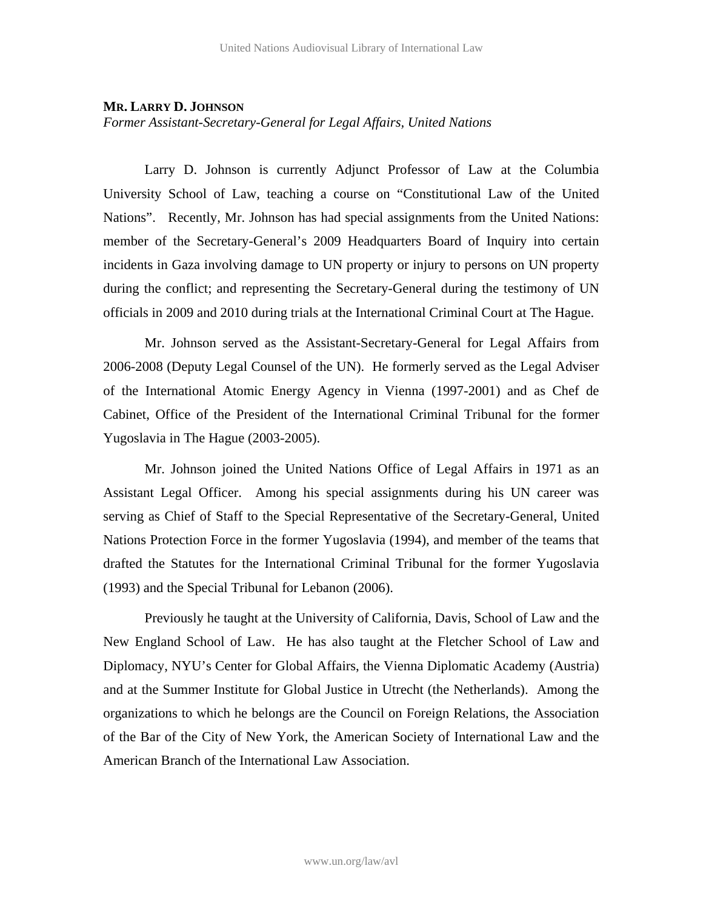## **MR. LARRY D. JOHNSON**

*Former Assistant-Secretary-General for Legal Affairs, United Nations* 

 Larry D. Johnson is currently Adjunct Professor of Law at the Columbia University School of Law, teaching a course on "Constitutional Law of the United Nations". Recently, Mr. Johnson has had special assignments from the United Nations: member of the Secretary-General's 2009 Headquarters Board of Inquiry into certain incidents in Gaza involving damage to UN property or injury to persons on UN property during the conflict; and representing the Secretary-General during the testimony of UN officials in 2009 and 2010 during trials at the International Criminal Court at The Hague.

 Mr. Johnson served as the Assistant-Secretary-General for Legal Affairs from 2006-2008 (Deputy Legal Counsel of the UN). He formerly served as the Legal Adviser of the International Atomic Energy Agency in Vienna (1997-2001) and as Chef de Cabinet, Office of the President of the International Criminal Tribunal for the former Yugoslavia in The Hague (2003-2005).

 Mr. Johnson joined the United Nations Office of Legal Affairs in 1971 as an Assistant Legal Officer. Among his special assignments during his UN career was serving as Chief of Staff to the Special Representative of the Secretary-General, United Nations Protection Force in the former Yugoslavia (1994), and member of the teams that drafted the Statutes for the International Criminal Tribunal for the former Yugoslavia (1993) and the Special Tribunal for Lebanon (2006).

 Previously he taught at the University of California, Davis, School of Law and the New England School of Law. He has also taught at the Fletcher School of Law and Diplomacy, NYU's Center for Global Affairs, the Vienna Diplomatic Academy (Austria) and at the Summer Institute for Global Justice in Utrecht (the Netherlands). Among the organizations to which he belongs are the Council on Foreign Relations, the Association of the Bar of the City of New York, the American Society of International Law and the American Branch of the International Law Association.